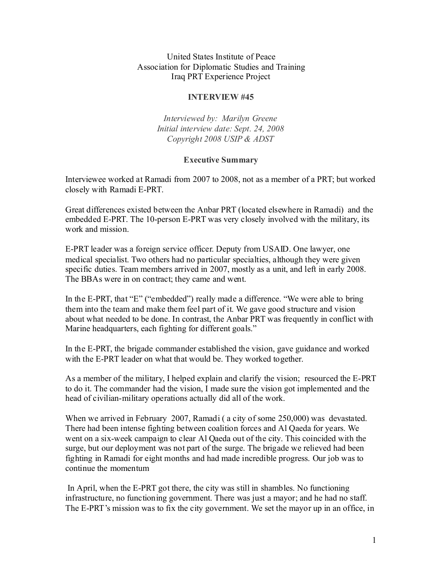United States Institute of Peace Association for Diplomatic Studies and Training Iraq PRT Experience Project

#### **INTERVIEW #45**

*Interviewed by: Marilyn Greene Initial interview date: Sept. 24, 2008 Copyright 2008 USIP & ADST*

#### **Executive Summary**

Interviewee worked at Ramadi from 2007 to 2008, not as a member of a PRT; but worked closely with Ramadi E-PRT.

Great differences existed between the Anbar PRT (located elsewhere in Ramadi) and the embedded E-PRT. The 10-person E-PRT was very closely involved with the military, its work and mission.

E-PRT leader was a foreign service officer. Deputy from USAID. One lawyer, one medical specialist. Two others had no particular specialties, although they were given specific duties. Team members arrived in 2007, mostly as a unit, and left in early 2008. The BBAs were in on contract; they came and went.

In the E-PRT, that "E" ("embedded") really made a difference. "We were able to bring them into the team and make them feel part of it. We gave good structure and vision about what needed to be done. In contrast, the Anbar PRT was frequently in conflict with Marine headquarters, each fighting for different goals."

In the E-PRT, the brigade commander established the vision, gave guidance and worked with the E-PRT leader on what that would be. They worked together.

As a member of the military, I helped explain and clarify the vision; resourced the E-PRT to do it. The commander had the vision, I made sure the vision got implemented and the head of civilian-military operations actually did all of the work.

When we arrived in February 2007, Ramadi ( a city of some 250,000) was devastated. There had been intense fighting between coalition forces and Al Qaeda for years. We went on a six-week campaign to clear Al Qaeda out of the city. This coincided with the surge, but our deployment was not part of the surge. The brigade we relieved had been fighting in Ramadi for eight months and had made incredible progress. Our job was to continue the momentum

In April, when the E-PRT got there, the city was still in shambles. No functioning infrastructure, no functioning government. There was just a mayor; and he had no staff. The E-PRT's mission was to fix the city government. We set the mayor up in an office, in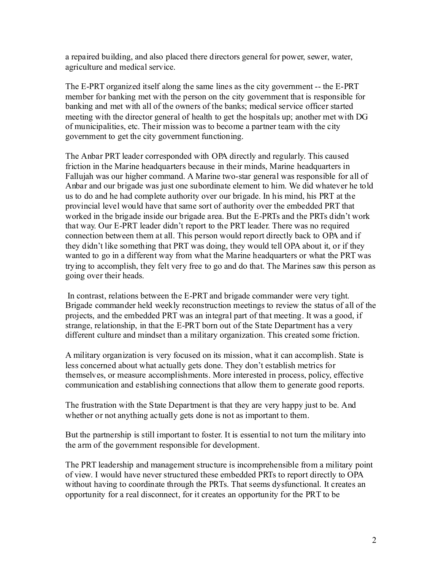a repaired building, and also placed there directors general for power, sewer, water, agriculture and medical service.

The E-PRT organized itself along the same lines as the city government -- the E-PRT member for banking met with the person on the city government that is responsible for banking and met with all of the owners of the banks; medical service officer started meeting with the director general of health to get the hospitals up; another met with DG of municipalities, etc. Their mission was to become a partner team with the city government to get the city government functioning.

The Anbar PRT leader corresponded with OPA directly and regularly. This caused friction in the Marine headquarters because in their minds, Marine headquarters in Fallujah was our higher command. A Marine two-star general was responsible for all of Anbar and our brigade was just one subordinate element to him. We did whatever he told us to do and he had complete authority over our brigade. In his mind, his PRT at the provincial level would have that same sort of authority over the embedded PRT that worked in the brigade inside our brigade area. But the E-PRTs and the PRTs didn't work that way. Our E-PRT leader didn't report to the PRT leader. There was no required connection between them at all. This person would report directly back to OPA and if they didn't like something that PRT was doing, they would tell OPA about it, or if they wanted to go in a different way from what the Marine headquarters or what the PRT was trying to accomplish, they felt very free to go and do that. The Marines saw this person as going over their heads.

In contrast, relations between the E-PRT and brigade commander were very tight. Brigade commander held weekly reconstruction meetings to review the status of all of the projects, and the embedded PRT was an integral part of that meeting. It was a good, if strange, relationship, in that the E-PRT born out of the State Department has a very different culture and mindset than a military organization. This created some friction.

A military organization is very focused on its mission, what it can accomplish. State is less concerned about what actually gets done. They don't establish metrics for themselves, or measure accomplishments. More interested in process, policy, effective communication and establishing connections that allow them to generate good reports.

The frustration with the State Department is that they are very happy just to be. And whether or not anything actually gets done is not as important to them.

But the partnership is still important to foster. It is essential to not turn the military into the arm of the government responsible for development.

The PRT leadership and management structure is incomprehensible from a military point of view. I would have never structured these embedded PRTs to report directly to OPA without having to coordinate through the PRTs. That seems dysfunctional. It creates an opportunity for a real disconnect, for it creates an opportunity for the PRT to be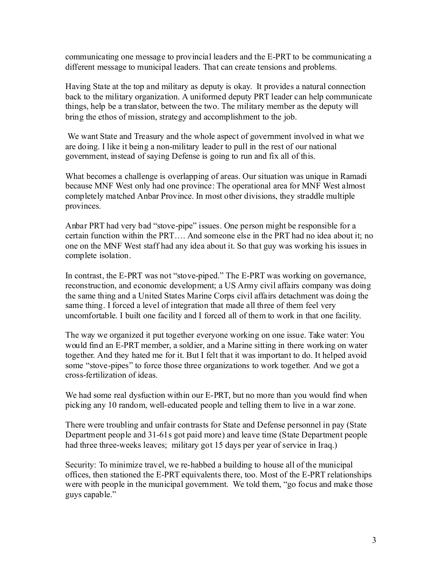communicating one message to provincial leaders and the E-PRT to be communicating a different message to municipal leaders. That can create tensions and problems.

Having State at the top and military as deputy is okay. It provides a natural connection back to the military organization. A uniformed deputy PRT leader can help communicate things, help be a translator, between the two. The military member as the deputy will bring the ethos of mission, strategy and accomplishment to the job.

We want State and Treasury and the whole aspect of government involved in what we are doing. I like it being a non-military leader to pull in the rest of our national government, instead of saying Defense is going to run and fix all of this.

What becomes a challenge is overlapping of areas. Our situation was unique in Ramadi because MNF West only had one province: The operational area for MNF West almost completely matched Anbar Province. In most other divisions, they straddle multiple provinces.

Anbar PRT had very bad "stove-pipe" issues. One person might be responsible for a certain function within the PRT…. And someone else in the PRT had no idea about it; no one on the MNF West staff had any idea about it. So that guy was working his issues in complete isolation.

In contrast, the E-PRT was not "stove-piped." The E-PRT was working on governance, reconstruction, and economic development; a US Army civil affairs company was doing the same thing and a United States Marine Corps civil affairs detachment was doing the same thing. I forced a level of integration that made all three of them feel very uncomfortable. I built one facility and I forced all of them to work in that one facility.

The way we organized it put together everyone working on one issue. Take water: You would find an E-PRT member, a soldier, and a Marine sitting in there working on water together. And they hated me for it. But I felt that it was important to do. It helped avoid some "stove-pipes" to force those three organizations to work together. And we got a cross-fertilization of ideas.

We had some real dysfuction within our E-PRT, but no more than you would find when picking any 10 random, well-educated people and telling them to live in a war zone.

There were troubling and unfair contrasts for State and Defense personnel in pay (State Department people and 31-61s got paid more) and leave time (State Department people had three three-weeks leaves; military got 15 days per year of service in Iraq.)

Security: To minimize travel, we re-habbed a building to house all of the municipal offices, then stationed the E-PRT equivalents there, too. Most of the E-PRT relationships were with people in the municipal government. We told them, "go focus and make those guys capable."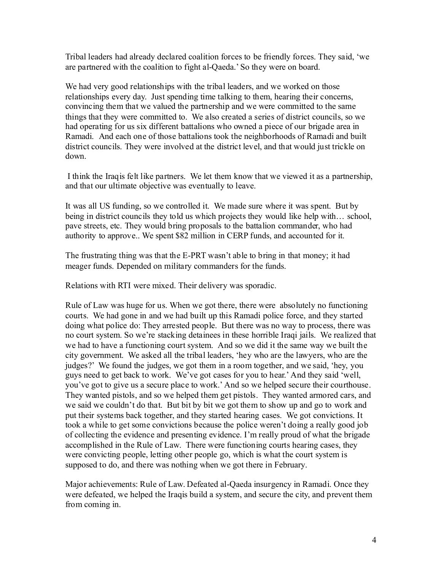Tribal leaders had already declared coalition forces to be friendly forces. They said, 'we are partnered with the coalition to fight al-Qaeda.' So they were on board.

We had very good relationships with the tribal leaders, and we worked on those relationships every day. Just spending time talking to them, hearing their concerns, convincing them that we valued the partnership and we were committed to the same things that they were committed to. We also created a series of district councils, so we had operating for us six different battalions who owned a piece of our brigade area in Ramadi. And each one of those battalions took the neighborhoods of Ramadi and built district councils. They were involved at the district level, and that would just trickle on down.

I think the Iraqis felt like partners. We let them know that we viewed it as a partnership, and that our ultimate objective was eventually to leave.

It was all US funding, so we controlled it. We made sure where it was spent. But by being in district councils they told us which projects they would like help with… school, pave streets, etc. They would bring proposals to the battalion commander, who had authority to approve.. We spent \$82 million in CERP funds, and accounted for it.

The frustrating thing was that the E-PRT wasn't able to bring in that money; it had meager funds. Depended on military commanders for the funds.

Relations with RTI were mixed. Their delivery was sporadic.

Rule of Law was huge for us. When we got there, there were absolutely no functioning courts. We had gone in and we had built up this Ramadi police force, and they started doing what police do: They arrested people. But there was no way to process, there was no court system. So we're stacking detainees in these horrible Iraqi jails. We realized that we had to have a functioning court system. And so we did it the same way we built the city government. We asked all the tribal leaders, 'hey who are the lawyers, who are the judges?' We found the judges, we got them in a room together, and we said, 'hey, you guys need to get back to work. We've got cases for you to hear.' And they said 'well, you've got to give us a secure place to work.' And so we helped secure their courthouse. They wanted pistols, and so we helped them get pistols. They wanted armored cars, and we said we couldn't do that. But bit by bit we got them to show up and go to work and put their systems back together, and they started hearing cases. We got convictions. It took a while to get some convictions because the police weren't doing a really good job of collecting the evidence and presenting evidence. I'm really proud of what the brigade accomplished in the Rule of Law. There were functioning courts hearing cases, they were convicting people, letting other people go, which is what the court system is supposed to do, and there was nothing when we got there in February.

Major achievements: Rule of Law. Defeated al-Qaeda insurgency in Ramadi. Once they were defeated, we helped the Iraqis build a system, and secure the city, and prevent them from coming in.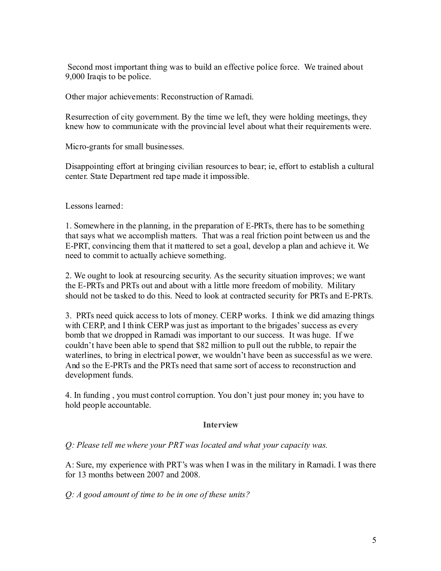Second most important thing was to build an effective police force. We trained about 9,000 Iraqis to be police.

Other major achievements: Reconstruction of Ramadi.

Resurrection of city government. By the time we left, they were holding meetings, they knew how to communicate with the provincial level about what their requirements were.

Micro-grants for small businesses.

Disappointing effort at bringing civilian resources to bear; ie, effort to establish a cultural center. State Department red tape made it impossible.

Lessons learned:

1. Somewhere in the planning, in the preparation of E-PRTs, there has to be something that says what we accomplish matters. That was a real friction point between us and the E-PRT, convincing them that it mattered to set a goal, develop a plan and achieve it. We need to commit to actually achieve something.

2. We ought to look at resourcing security. As the security situation improves; we want the E-PRTs and PRTs out and about with a little more freedom of mobility. Military should not be tasked to do this. Need to look at contracted security for PRTs and E-PRTs.

3. PRTs need quick access to lots of money. CERP works. I think we did amazing things with CERP, and I think CERP was just as important to the brigades' success as every bomb that we dropped in Ramadi was important to our success. It was huge. If we couldn't have been able to spend that \$82 million to pull out the rubble, to repair the waterlines, to bring in electrical power, we wouldn't have been as successful as we were. And so the E-PRTs and the PRTs need that same sort of access to reconstruction and development funds.

4. In funding , you must control corruption. You don't just pour money in; you have to hold people accountable.

#### **Interview**

*Q: Please tell me where your PRT was located and what your capacity was.*

A: Sure, my experience with PRT's was when I was in the military in Ramadi. I was there for 13 months between 2007 and 2008.

*Q: A good amount of time to be in one of these units?*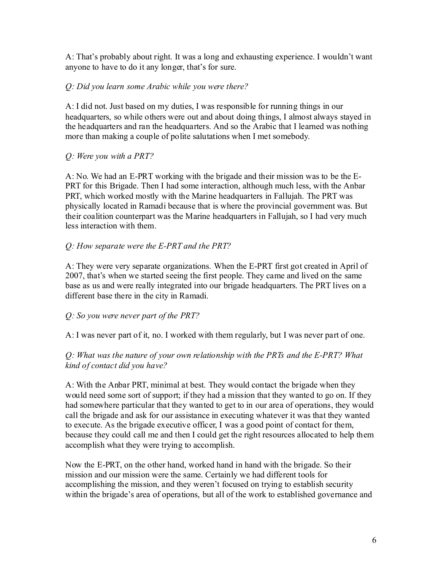A: That's probably about right. It was a long and exhausting experience. I wouldn't want anyone to have to do it any longer, that's for sure.

## *Q: Did you learn some Arabic while you were there?*

A: I did not. Just based on my duties, I was responsible for running things in our headquarters, so while others were out and about doing things, I almost always stayed in the headquarters and ran the headquarters. And so the Arabic that I learned was nothing more than making a couple of polite salutations when I met somebody.

# *Q: Were you with a PRT?*

A: No. We had an E-PRT working with the brigade and their mission was to be the E-PRT for this Brigade. Then I had some interaction, although much less, with the Anbar PRT, which worked mostly with the Marine headquarters in Fallujah. The PRT was physically located in Ramadi because that is where the provincial government was. But their coalition counterpart was the Marine headquarters in Fallujah, so I had very much less interaction with them.

# *Q: How separate were the E-PRT and the PRT?*

A: They were very separate organizations. When the E-PRT first got created in April of 2007, that's when we started seeing the first people. They came and lived on the same base as us and were really integrated into our brigade headquarters. The PRT lives on a different base there in the city in Ramadi.

### *Q: So you were never part of the PRT?*

A: I was never part of it, no. I worked with them regularly, but I was never part of one.

# *Q: What was the nature of your own relationship with the PRTs and the E-PRT? What kind of contact did you have?*

A: With the Anbar PRT, minimal at best. They would contact the brigade when they would need some sort of support; if they had a mission that they wanted to go on. If they had somewhere particular that they wanted to get to in our area of operations, they would call the brigade and ask for our assistance in executing whatever it was that they wanted to execute. As the brigade executive officer, I was a good point of contact for them, because they could call me and then I could get the right resources allocated to help them accomplish what they were trying to accomplish.

Now the E-PRT, on the other hand, worked hand in hand with the brigade. So their mission and our mission were the same. Certainly we had different tools for accomplishing the mission, and they weren't focused on trying to establish security within the brigade's area of operations, but all of the work to established governance and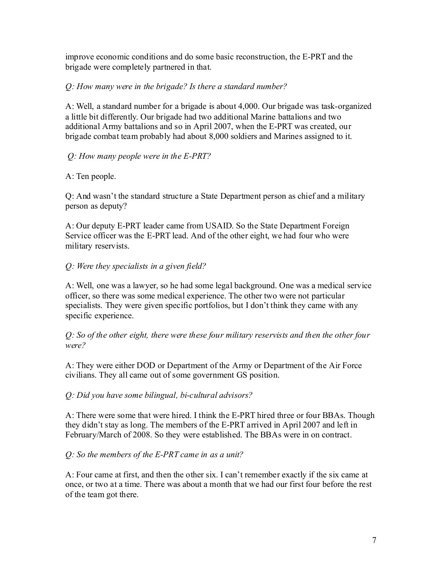improve economic conditions and do some basic reconstruction, the E-PRT and the brigade were completely partnered in that.

## *Q: How many were in the brigade? Is there a standard number?*

A: Well, a standard number for a brigade is about 4,000. Our brigade was task-organized a little bit differently. Our brigade had two additional Marine battalions and two additional Army battalions and so in April 2007, when the E-PRT was created, our brigade combat team probably had about 8,000 soldiers and Marines assigned to it.

# *Q: How many people were in the E-PRT?*

# A: Ten people.

Q: And wasn't the standard structure a State Department person as chief and a military person as deputy?

A: Our deputy E-PRT leader came from USAID. So the State Department Foreign Service officer was the E-PRT lead. And of the other eight, we had four who were military reservists.

# *Q: Were they specialists in a given field?*

A: Well, one was a lawyer, so he had some legal background. One was a medical service officer, so there was some medical experience. The other two were not particular specialists. They were given specific portfolios, but I don't think they came with any specific experience.

*Q: So of the other eight, there were these four military reservists and then the other four were?*

A: They were either DOD or Department of the Army or Department of the Air Force civilians. They all came out of some government GS position.

### *Q: Did you have some bilingual, bi-cultural advisors?*

A: There were some that were hired. I think the E-PRT hired three or four BBAs. Though they didn't stay as long. The members of the E-PRT arrived in April 2007 and left in February/March of 2008. So they were established. The BBAs were in on contract.

### *Q: So the members of the E-PRT came in as a unit?*

A: Four came at first, and then the other six. I can't remember exactly if the six came at once, or two at a time. There was about a month that we had our first four before the rest of the team got there.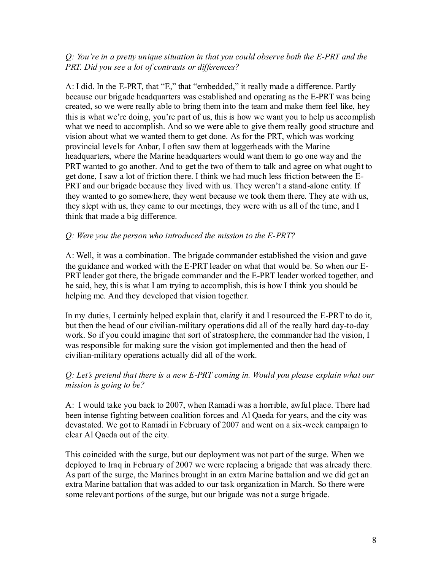## *Q: You're in a pretty unique situation in that you could observe both the E-PRT and the PRT. Did you see a lot of contrasts or differences?*

A: I did. In the E-PRT, that "E," that "embedded," it really made a difference. Partly because our brigade headquarters was established and operating as the E-PRT was being created, so we were really able to bring them into the team and make them feel like, hey this is what we're doing, you're part of us, this is how we want you to help us accomplish what we need to accomplish. And so we were able to give them really good structure and vision about what we wanted them to get done. As for the PRT, which was working provincial levels for Anbar, I often saw them at loggerheads with the Marine headquarters, where the Marine headquarters would want them to go one way and the PRT wanted to go another. And to get the two of them to talk and agree on what ought to get done, I saw a lot of friction there. I think we had much less friction between the E-PRT and our brigade because they lived with us. They weren't a stand-alone entity. If they wanted to go somewhere, they went because we took them there. They ate with us, they slept with us, they came to our meetings, they were with us all of the time, and I think that made a big difference.

### *Q: Were you the person who introduced the mission to the E-PRT?*

A: Well, it was a combination. The brigade commander established the vision and gave the guidance and worked with the E-PRT leader on what that would be. So when our E-PRT leader got there, the brigade commander and the E-PRT leader worked together, and he said, hey, this is what I am trying to accomplish, this is how I think you should be helping me. And they developed that vision together.

In my duties, I certainly helped explain that, clarify it and I resourced the E-PRT to do it, but then the head of our civilian-military operations did all of the really hard day-to-day work. So if you could imagine that sort of stratosphere, the commander had the vision, I was responsible for making sure the vision got implemented and then the head of civilian-military operations actually did all of the work.

### *Q: Let's pretend that there is a new E-PRT coming in. Would you please explain what our mission is going to be?*

A: I would take you back to 2007, when Ramadi was a horrible, awful place. There had been intense fighting between coalition forces and Al Qaeda for years, and the city was devastated. We got to Ramadi in February of 2007 and went on a six-week campaign to clear Al Qaeda out of the city.

This coincided with the surge, but our deployment was not part of the surge. When we deployed to Iraq in February of 2007 we were replacing a brigade that was already there. As part of the surge, the Marines brought in an extra Marine battalion and we did get an extra Marine battalion that was added to our task organization in March. So there were some relevant portions of the surge, but our brigade was not a surge brigade.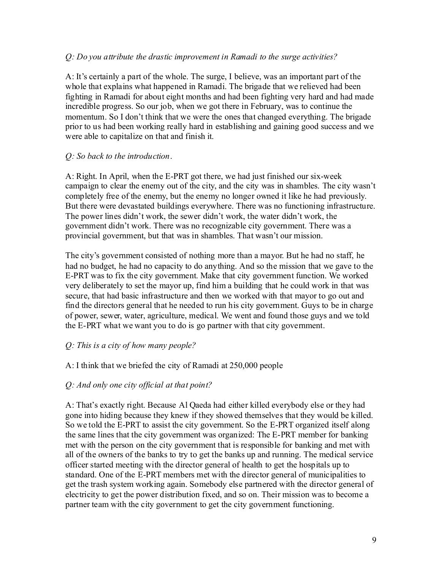#### *Q: Do you attribute the drastic improvement in Ramadi to the surge activities?*

A: It's certainly a part of the whole. The surge, I believe, was an important part of the whole that explains what happened in Ramadi. The brigade that we relieved had been fighting in Ramadi for about eight months and had been fighting very hard and had made incredible progress. So our job, when we got there in February, was to continue the momentum. So I don't think that we were the ones that changed everything. The brigade prior to us had been working really hard in establishing and gaining good success and we were able to capitalize on that and finish it.

#### *Q: So back to the introduction*.

A: Right. In April, when the E-PRT got there, we had just finished our six-week campaign to clear the enemy out of the city, and the city was in shambles. The city wasn't completely free of the enemy, but the enemy no longer owned it like he had previously. But there were devastated buildings everywhere. There was no functioning infrastructure. The power lines didn't work, the sewer didn't work, the water didn't work, the government didn't work. There was no recognizable city government. There was a provincial government, but that was in shambles. That wasn't our mission.

The city's government consisted of nothing more than a mayor. But he had no staff, he had no budget, he had no capacity to do anything. And so the mission that we gave to the E-PRT was to fix the city government. Make that city government function. We worked very deliberately to set the mayor up, find him a building that he could work in that was secure, that had basic infrastructure and then we worked with that mayor to go out and find the directors general that he needed to run his city government. Guys to be in charge of power, sewer, water, agriculture, medical. We went and found those guys and we told the E-PRT what we want you to do is go partner with that city government.

### *Q: This is a city of how many people?*

#### A: I think that we briefed the city of Ramadi at 250,000 people

### *Q: And only one city official at that point?*

A: That's exactly right. Because Al Qaeda had either killed everybody else or they had gone into hiding because they knew if they showed themselves that they would be killed. So we told the E-PRT to assist the city government. So the E-PRT organized itself along the same lines that the city government was organized: The E-PRT member for banking met with the person on the city government that is responsible for banking and met with all of the owners of the banks to try to get the banks up and running. The medical service officer started meeting with the director general of health to get the hospitals up to standard. One of the E-PRT members met with the director general of municipalities to get the trash system working again. Somebody else partnered with the director general of electricity to get the power distribution fixed, and so on. Their mission was to become a partner team with the city government to get the city government functioning.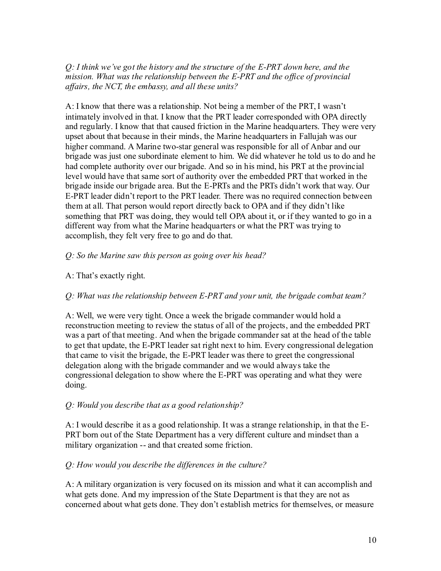*Q: I think we've got the history and the structure of the E-PRT down here, and the mission. What was the relationship between the E-PRT and the of ice of provincial af airs, the NCT, the embassy, and all these units?*

A: I know that there was a relationship. Not being a member of the PRT, I wasn't intimately involved in that. I know that the PRT leader corresponded with OPA directly and regularly. I know that that caused friction in the Marine headquarters. They were very upset about that because in their minds, the Marine headquarters in Fallujah was our higher command. A Marine two-star general was responsible for all of Anbar and our brigade was just one subordinate element to him. We did whatever he told us to do and he had complete authority over our brigade. And so in his mind, his PRT at the provincial level would have that same sort of authority over the embedded PRT that worked in the brigade inside our brigade area. But the E-PRTs and the PRTs didn't work that way. Our E-PRT leader didn't report to the PRT leader. There was no required connection between them at all. That person would report directly back to OPA and if they didn't like something that PRT was doing, they would tell OPA about it, or if they wanted to go in a different way from what the Marine headquarters or what the PRT was trying to accomplish, they felt very free to go and do that.

### *Q: So the Marine saw this person as going over his head?*

### A: That's exactly right.

### *Q: What was the relationship between E-PRT and your unit, the brigade combat team?*

A: Well, we were very tight. Once a week the brigade commander would hold a reconstruction meeting to review the status of all of the projects, and the embedded PRT was a part of that meeting. And when the brigade commander sat at the head of the table to get that update, the E-PRT leader sat right next to him. Every congressional delegation that came to visit the brigade, the E-PRT leader was there to greet the congressional delegation along with the brigade commander and we would always take the congressional delegation to show where the E-PRT was operating and what they were doing.

#### *Q: Would you describe that as a good relationship?*

A: I would describe it as a good relationship. It was a strange relationship, in that the E-PRT born out of the State Department has a very different culture and mindset than a military organization -- and that created some friction.

### *Q: How would you describe the differences in the culture?*

A: A military organization is very focused on its mission and what it can accomplish and what gets done. And my impression of the State Department is that they are not as concerned about what gets done. They don't establish metrics for themselves, or measure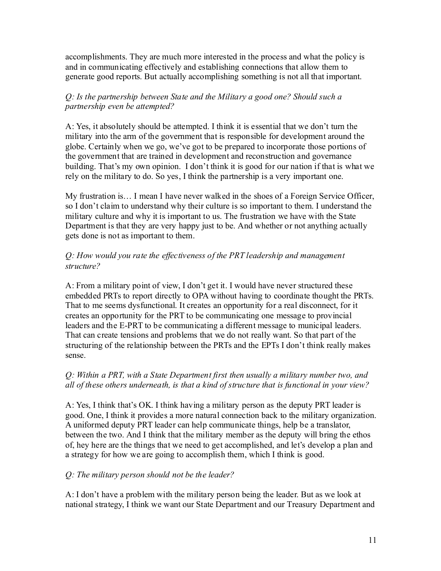accomplishments. They are much more interested in the process and what the policy is and in communicating effectively and establishing connections that allow them to generate good reports. But actually accomplishing something is not all that important.

## *Q: Is the partnership between State and the Military a good one? Should such a partnership even be attempted?*

A: Yes, it absolutely should be attempted. I think it is essential that we don't turn the military into the arm of the government that is responsible for development around the globe. Certainly when we go, we've got to be prepared to incorporate those portions of the government that are trained in development and reconstruction and governance building. That's my own opinion. I don't think it is good for our nation if that is what we rely on the military to do. So yes, I think the partnership is a very important one.

My frustration is… I mean I have never walked in the shoes of a Foreign Service Officer, so I don't claim to understand why their culture is so important to them. I understand the military culture and why it is important to us. The frustration we have with the State Department is that they are very happy just to be. And whether or not anything actually gets done is not as important to them.

## *Q: How would you rate the ef ectiveness of the PRT leadership and management structure?*

A: From a military point of view, I don't get it. I would have never structured these embedded PRTs to report directly to OPA without having to coordinate thought the PRTs. That to me seems dysfunctional. It creates an opportunity for a real disconnect, for it creates an opportunity for the PRT to be communicating one message to provincial leaders and the E-PRT to be communicating a different message to municipal leaders. That can create tensions and problems that we do not really want. So that part of the structuring of the relationship between the PRTs and the EPTs I don't think really makes sense.

# *Q: Within a PRT, with a State Department first then usually a military number two, and all of these others underneath, is that a kind of structure that is functional in your view?*

A: Yes, I think that's OK. I think having a military person as the deputy PRT leader is good. One, I think it provides a more natural connection back to the military organization. A uniformed deputy PRT leader can help communicate things, help be a translator, between the two. And I think that the military member as the deputy will bring the ethos of, hey here are the things that we need to get accomplished, and let's develop a plan and a strategy for how we are going to accomplish them, which I think is good.

### *Q: The military person should not be the leader?*

A: I don't have a problem with the military person being the leader. But as we look at national strategy, I think we want our State Department and our Treasury Department and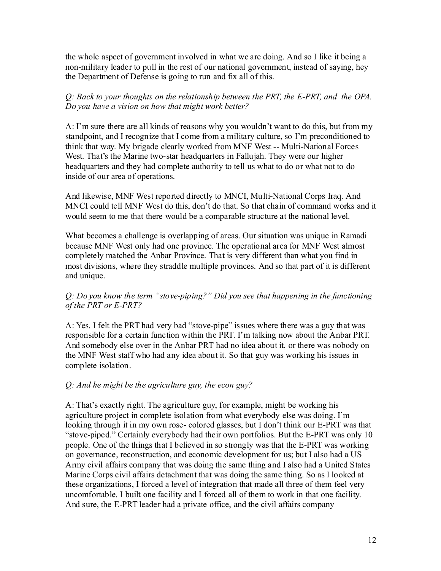the whole aspect of government involved in what we are doing. And so I like it being a non-military leader to pull in the rest of our national government, instead of saying, hey the Department of Defense is going to run and fix all of this.

## *Q: Back to your thoughts on the relationship between the PRT, the E-PRT, and the OPA. Do you have a vision on how that might work better?*

A: I'm sure there are all kinds of reasons why you wouldn't want to do this, but from my standpoint, and I recognize that I come from a military culture, so I'm preconditioned to think that way. My brigade clearly worked from MNF West -- Multi-National Forces West. That's the Marine two-star headquarters in Fallujah. They were our higher headquarters and they had complete authority to tell us what to do or what not to do inside of our area of operations.

And likewise, MNF West reported directly to MNCI, Multi-National Corps Iraq. And MNCI could tell MNF West do this, don't do that. So that chain of command works and it would seem to me that there would be a comparable structure at the national level.

What becomes a challenge is overlapping of areas. Our situation was unique in Ramadi because MNF West only had one province. The operational area for MNF West almost completely matched the Anbar Province. That is very different than what you find in most divisions, where they straddle multiple provinces. And so that part of it is different and unique.

# *Q: Do you know the term "stove-piping?" Did you see that happening in the functioning of the PRT or E-PRT?*

A: Yes. I felt the PRT had very bad "stove-pipe" issues where there was a guy that was responsible for a certain function within the PRT. I'm talking now about the Anbar PRT. And somebody else over in the Anbar PRT had no idea about it, or there was nobody on the MNF West staff who had any idea about it. So that guy was working his issues in complete isolation.

# *Q: And he might be the agriculture guy, the econ guy?*

A: That's exactly right. The agriculture guy, for example, might be working his agriculture project in complete isolation from what everybody else was doing. I'm looking through it in my own rose- colored glasses, but I don't think our E-PRT was that "stove-piped." Certainly everybody had their own portfolios. But the E-PRT was only 10 people. One of the things that I believed in so strongly was that the E-PRT was working on governance, reconstruction, and economic development for us; but I also had a US Army civil affairs company that was doing the same thing and I also had a United States Marine Corps civil affairs detachment that was doing the same thing. So as I looked at these organizations, I forced a level of integration that made all three of them feel very uncomfortable. I built one facility and I forced all of them to work in that one facility. And sure, the E-PRT leader had a private office, and the civil affairs company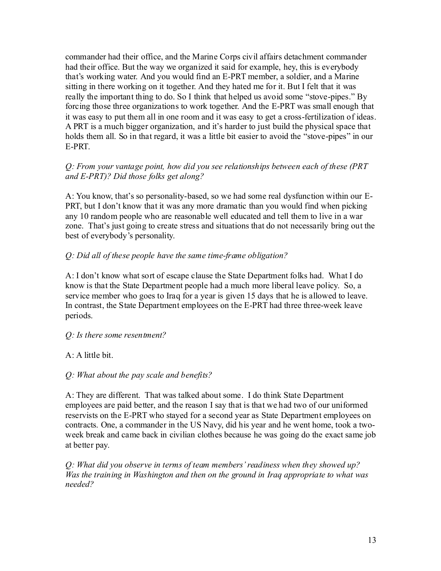commander had their office, and the Marine Corps civil affairs detachment commander had their office. But the way we organized it said for example, hey, this is everybody that's working water. And you would find an E-PRT member, a soldier, and a Marine sitting in there working on it together. And they hated me for it. But I felt that it was really the important thing to do. So I think that helped us avoid some "stove-pipes." By forcing those three organizations to work together. And the E-PRT was small enough that it was easy to put them all in one room and it was easy to get a cross-fertilization of ideas. A PRT is a much bigger organization, and it's harder to just build the physical space that holds them all. So in that regard, it was a little bit easier to avoid the "stove-pipes" in our E-PRT.

### *Q: From your vantage point, how did you see relationships between each of these (PRT and E-PRT)? Did those folks get along?*

A: You know, that's so personality-based, so we had some real dysfunction within our E-PRT, but I don't know that it was any more dramatic than you would find when picking any 10 random people who are reasonable well educated and tell them to live in a war zone. That's just going to create stress and situations that do not necessarily bring out the best of everybody's personality.

# *Q: Did all of these people have the same time-frame obligation?*

A: I don't know what sort of escape clause the State Department folks had. What I do know is that the State Department people had a much more liberal leave policy. So, a service member who goes to Iraq for a year is given 15 days that he is allowed to leave. In contrast, the State Department employees on the E-PRT had three three-week leave periods.

### *Q: Is there some resentment?*

# A: A little bit.

### *Q: What about the pay scale and benefits?*

A: They are different. That was talked about some. I do think State Department employees are paid better, and the reason I say that is that we had two of our uniformed reservists on the E-PRT who stayed for a second year as State Department employees on contracts. One, a commander in the US Navy, did his year and he went home, took a twoweek break and came back in civilian clothes because he was going do the exact same job at better pay.

*Q: What did you observe in terms of team members'readiness when they showed up? Was the training in Washington and then on the ground in Iraq appropriate to what was needed?*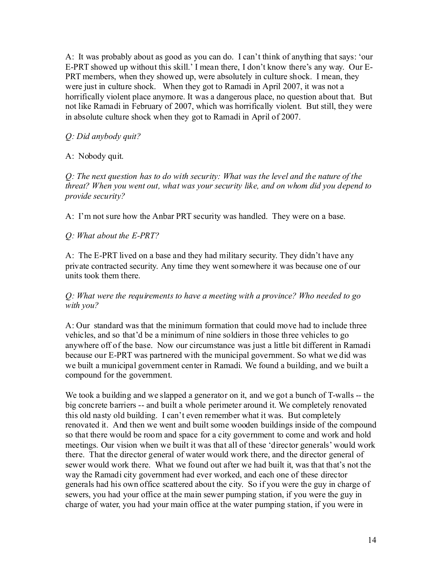A: It was probably about as good as you can do. I can't think of anything that says: 'our E-PRT showed up without this skill.' I mean there, I don't know there's any way. Our E-PRT members, when they showed up, were absolutely in culture shock. I mean, they were just in culture shock. When they got to Ramadi in April 2007, it was not a horrifically violent place anymore. It was a dangerous place, no question about that. But not like Ramadi in February of 2007, which was horrifically violent. But still, they were in absolute culture shock when they got to Ramadi in April of 2007.

## *Q: Did anybody quit?*

A: Nobody quit.

*Q: The next question has to do with security: What was the level and the nature of the threat? When you went out, what was your security like, and on whom did you depend to provide security?*

A: I'm not sure how the Anbar PRT security was handled. They were on a base.

### *Q: What about the E-PRT?*

A: The E-PRT lived on a base and they had military security. They didn't have any private contracted security. Any time they went somewhere it was because one of our units took them there.

#### *Q: What were the requirements to have a meeting with a province? Who needed to go with you?*

A: Our standard was that the minimum formation that could move had to include three vehicles, and so that'd be a minimum of nine soldiers in those three vehicles to go anywhere off of the base. Now our circumstance was just a little bit different in Ramadi because our E-PRT was partnered with the municipal government. So what we did was we built a municipal government center in Ramadi. We found a building, and we built a compound for the government.

We took a building and we slapped a generator on it, and we got a bunch of T-walls -- the big concrete barriers -- and built a whole perimeter around it. We completely renovated this old nasty old building. I can't even remember what it was. But completely renovated it. And then we went and built some wooden buildings inside of the compound so that there would be room and space for a city government to come and work and hold meetings. Our vision when we built it was that all of these 'director generals' would work there. That the director general of water would work there, and the director general of sewer would work there. What we found out after we had built it, was that that's not the way the Ramadi city government had ever worked, and each one of these director generals had his own office scattered about the city. So if you were the guy in charge of sewers, you had your office at the main sewer pumping station, if you were the guy in charge of water, you had your main office at the water pumping station, if you were in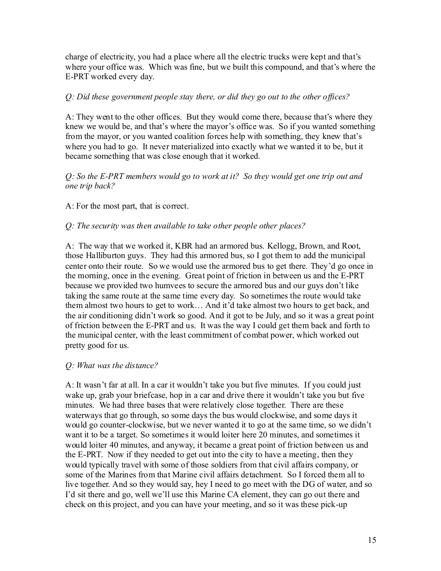charge of electricity, you had a place where all the electric trucks were kept and that's where your office was. Which was fine, but we built this compound, and that's where the E-PRT worked every day.

## *Q: Did these government people stay there, or did they go out to the other of ices?*

A: They went to the other offices. But they would come there, because that's where they knew we would be, and that's where the mayor's office was. So if you wanted something from the mayor, or you wanted coalition forces help with something, they knew that's where you had to go. It never materialized into exactly what we wanted it to be, but it became something that was close enough that it worked.

### *Q: So the E-PRT members would go to work at it? So they would get one trip out and one trip back?*

A: For the most part, that is correct.

# *Q: The security was then available to take other people other places?*

A: The way that we worked it, KBR had an armored bus. Kellogg, Brown, and Root, those Halliburton guys. They had this armored bus, so I got them to add the municipal center onto their route. So we would use the armored bus to get there. They'd go once in the morning, once in the evening. Great point of friction in between us and the E-PRT because we provided two humvees to secure the armored bus and our guys don't like taking the same route at the same time every day. So sometimes the route would take them almost two hours to get to work… And it'd take almost two hours to get back, and the air conditioning didn't work so good. And it got to be July, and so it was a great point of friction between the E-PRT and us. It was the way I could get them back and forth to the municipal center, with the least commitment of combat power, which worked out pretty good for us.

### *Q: What was the distance?*

A: It wasn't far at all. In a car it wouldn't take you but five minutes. If you could just wake up, grab your briefcase, hop in a car and drive there it wouldn't take you but five minutes. We had three bases that were relatively close together. There are these waterways that go through, so some days the bus would clockwise, and some days it would go counter-clockwise, but we never wanted it to go at the same time, so we didn't want it to be a target. So sometimes it would loiter here 20 minutes, and sometimes it would loiter 40 minutes, and anyway, it became a great point of friction between us and the E-PRT. Now if they needed to get out into the city to have a meeting, then they would typically travel with some of those soldiers from that civil affairs company, or some of the Marines from that Marine civil affairs detachment. So I forced them all to live together. And so they would say, hey I need to go meet with the DG of water, and so I'd sit there and go, well we'll use this Marine CA element, they can go out there and check on this project, and you can have your meeting, and so it was these pick-up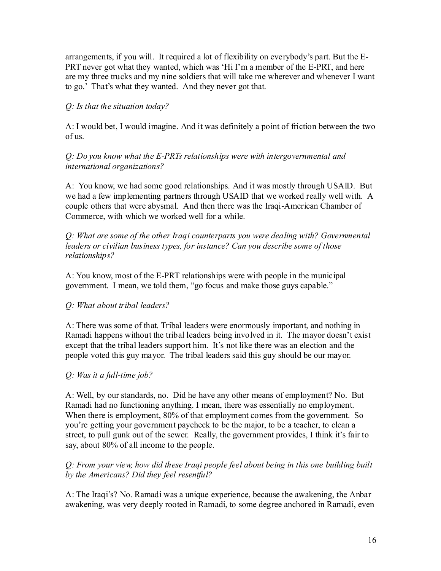arrangements, if you will. It required a lot of flexibility on everybody's part. But the E-PRT never got what they wanted, which was 'Hi I'm a member of the E-PRT, and here are my three trucks and my nine soldiers that will take me wherever and whenever I want to go.' That's what they wanted. And they never got that.

# *Q: Is that the situation today?*

A: I would bet, I would imagine. And it was definitely a point of friction between the two of us.

*Q: Do you know what the E-PRTs relationships were with intergovernmental and international organizations?*

A: You know, we had some good relationships. And it was mostly through USAID. But we had a few implementing partners through USAID that we worked really well with. A couple others that were abysmal. And then there was the Iraqi-American Chamber of Commerce, with which we worked well for a while.

*Q: What are some of the other Iraqi counterparts you were dealing with? Governmental leaders or civilian business types, for instance? Can you describe some of those relationships?*

A: You know, most of the E-PRT relationships were with people in the municipal government. I mean, we told them, "go focus and make those guys capable."

# *Q: What about tribal leaders?*

A: There was some of that. Tribal leaders were enormously important, and nothing in Ramadi happens without the tribal leaders being involved in it. The mayor doesn't exist except that the tribal leaders support him. It's not like there was an election and the people voted this guy mayor. The tribal leaders said this guy should be our mayor.

### *Q: Was it a full-time job?*

A: Well, by our standards, no. Did he have any other means of employment? No. But Ramadi had no functioning anything. I mean, there was essentially no employment. When there is employment, 80% of that employment comes from the government. So you're getting your government paycheck to be the major, to be a teacher, to clean a street, to pull gunk out of the sewer. Really, the government provides, I think it's fair to say, about 80% of all income to the people.

### *Q: From your view, how did these Iraqi people feel about being in this one building built by the Americans? Did they feel resentful?*

A: The Iraqi's? No. Ramadi was a unique experience, because the awakening, the Anbar awakening, was very deeply rooted in Ramadi, to some degree anchored in Ramadi, even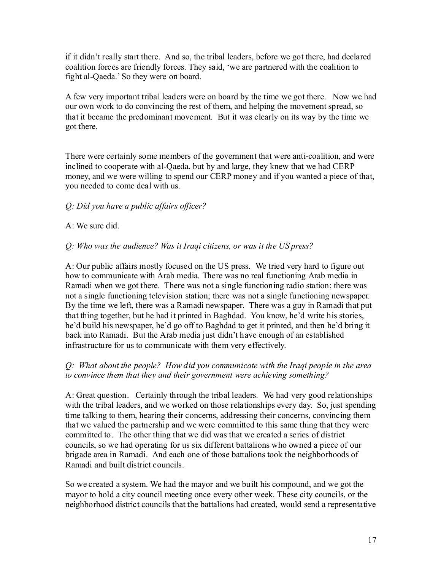if it didn't really start there. And so, the tribal leaders, before we got there, had declared coalition forces are friendly forces. They said, 'we are partnered with the coalition to fight al-Qaeda.' So they were on board.

A few very important tribal leaders were on board by the time we got there. Now we had our own work to do convincing the rest of them, and helping the movement spread, so that it became the predominant movement. But it was clearly on its way by the time we got there.

There were certainly some members of the government that were anti-coalition, and were inclined to cooperate with al-Qaeda, but by and large, they knew that we had CERP money, and we were willing to spend our CERP money and if you wanted a piece of that, you needed to come deal with us.

# *Q: Did you have a public affairs of icer?*

# A: We sure did.

# *Q: Who was the audience? Was it Iraqi citizens, or was it the US press?*

A: Our public affairs mostly focused on the US press. We tried very hard to figure out how to communicate with Arab media. There was no real functioning Arab media in Ramadi when we got there. There was not a single functioning radio station; there was not a single functioning television station; there was not a single functioning newspaper. By the time we left, there was a Ramadi newspaper. There was a guy in Ramadi that put that thing together, but he had it printed in Baghdad. You know, he'd write his stories, he'd build his newspaper, he'd go off to Baghdad to get it printed, and then he'd bring it back into Ramadi. But the Arab media just didn't have enough of an established infrastructure for us to communicate with them very effectively.

### *Q: What about the people? How did you communicate with the Iraqi people in the area to convince them that they and their government were achieving something?*

A: Great question. Certainly through the tribal leaders. We had very good relationships with the tribal leaders, and we worked on those relationships every day. So, just spending time talking to them, hearing their concerns, addressing their concerns, convincing them that we valued the partnership and we were committed to this same thing that they were committed to. The other thing that we did was that we created a series of district councils, so we had operating for us six different battalions who owned a piece of our brigade area in Ramadi. And each one of those battalions took the neighborhoods of Ramadi and built district councils.

So we created a system. We had the mayor and we built his compound, and we got the mayor to hold a city council meeting once every other week. These city councils, or the neighborhood district councils that the battalions had created, would send a representative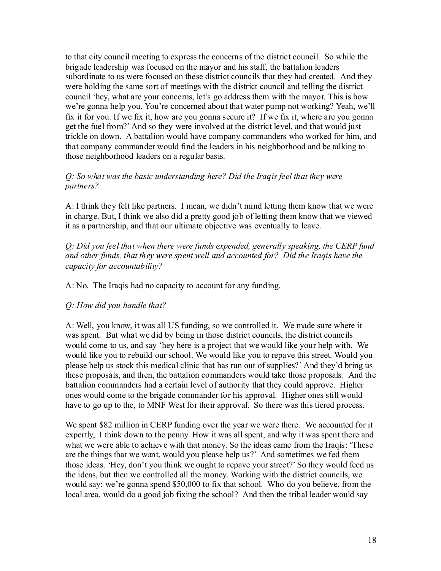to that city council meeting to express the concerns of the district council. So while the brigade leadership was focused on the mayor and his staff, the battalion leaders subordinate to us were focused on these district councils that they had created. And they were holding the same sort of meetings with the district council and telling the district council 'hey, what are your concerns, let's go address them with the mayor. This is how we're gonna help you. You're concerned about that water pump not working? Yeah, we'll fix it for you. If we fix it, how are you gonna secure it? If we fix it, where are you gonna get the fuel from?' And so they were involved at the district level, and that would just trickle on down. A battalion would have company commanders who worked for him, and that company commander would find the leaders in his neighborhood and be talking to those neighborhood leaders on a regular basis.

#### *Q: So what was the basic understanding here? Did the Iraqis feel that they were partners?*

A: I think they felt like partners. I mean, we didn't mind letting them know that we were in charge. But, I think we also did a pretty good job of letting them know that we viewed it as a partnership, and that our ultimate objective was eventually to leave.

*Q: Did you feel that when there were funds expended, generally speaking, the CERP fund and other funds, that they were spent well and accounted for? Did the Iraqis have the capacity for accountability?*

A: No. The Iraqis had no capacity to account for any funding.

### *Q: How did you handle that?*

A: Well, you know, it was all US funding, so we controlled it. We made sure where it was spent. But what we did by being in those district councils, the district councils would come to us, and say 'hey here is a project that we would like your help with. We would like you to rebuild our school. We would like you to repave this street. Would you please help us stock this medical clinic that has run out of supplies?' And they'd bring us these proposals, and then, the battalion commanders would take those proposals. And the battalion commanders had a certain level of authority that they could approve. Higher ones would come to the brigade commander for his approval. Higher ones still would have to go up to the, to MNF West for their approval. So there was this tiered process.

We spent \$82 million in CERP funding over the year we were there. We accounted for it expertly, I think down to the penny. How it was all spent, and why it was spent there and what we were able to achieve with that money. So the ideas came from the Iraqis: 'These are the things that we want, would you please help us?' And sometimes we fed them those ideas. 'Hey, don't you think we ought to repave your street?' So they would feed us the ideas, but then we controlled all the money. Working with the district councils, we would say: we're gonna spend \$50,000 to fix that school. Who do you believe, from the local area, would do a good job fixing the school? And then the tribal leader would say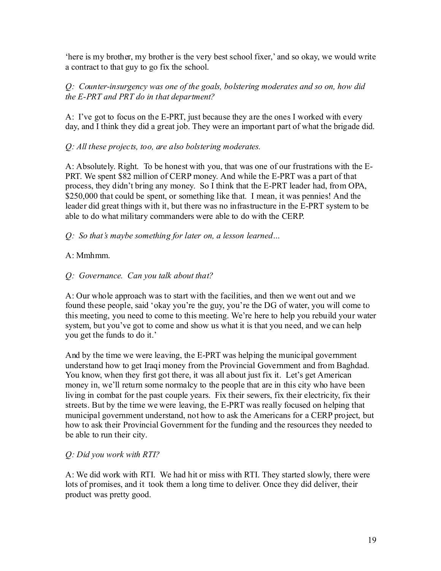'here is my brother, my brother is the very best school fixer,' and so okay, we would write a contract to that guy to go fix the school.

# *Q: Counter-insurgency was one of the goals, bolstering moderates and so on, how did the E-PRT and PRT do in that department?*

A: I've got to focus on the E-PRT, just because they are the ones I worked with every day, and I think they did a great job. They were an important part of what the brigade did.

# *Q: All these projects, too, are also bolstering moderates.*

A: Absolutely. Right. To be honest with you, that was one of our frustrations with the E-PRT. We spent \$82 million of CERP money. And while the E-PRT was a part of that process, they didn't bring any money. So I think that the E-PRT leader had, from OPA, \$250,000 that could be spent, or something like that. I mean, it was pennies! And the leader did great things with it, but there was no infrastructure in the E-PRT system to be able to do what military commanders were able to do with the CERP.

# *Q: So that's maybe something for later on, a lesson learned…*

# $A \cdot Mmhm$

# *Q: Governance. Can you talk about that?*

A: Our whole approach was to start with the facilities, and then we went out and we found these people, said 'okay you're the guy, you're the DG of water, you will come to this meeting, you need to come to this meeting. We're here to help you rebuild your water system, but you've got to come and show us what it is that you need, and we can help you get the funds to do it.'

And by the time we were leaving, the E-PRT was helping the municipal government understand how to get Iraqi money from the Provincial Government and from Baghdad. You know, when they first got there, it was all about just fix it. Let's get American money in, we'll return some normalcy to the people that are in this city who have been living in combat for the past couple years. Fix their sewers, fix their electricity, fix their streets. But by the time we were leaving, the E-PRT was really focused on helping that municipal government understand, not how to ask the Americans for a CERP project, but how to ask their Provincial Government for the funding and the resources they needed to be able to run their city.

# *Q: Did you work with RTI?*

A: We did work with RTI. We had hit or miss with RTI. They started slowly, there were lots of promises, and it took them a long time to deliver. Once they did deliver, their product was pretty good.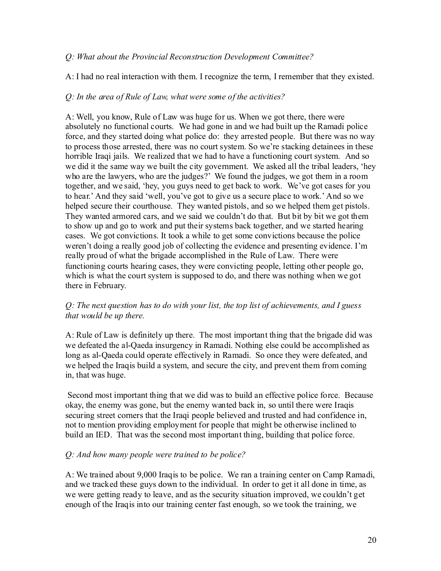#### *Q: What about the Provincial Reconstruction Development Committee?*

A: I had no real interaction with them. I recognize the term, I remember that they existed.

#### *Q: In the area of Rule of Law, what were some of the activities?*

A: Well, you know, Rule of Law was huge for us. When we got there, there were absolutely no functional courts. We had gone in and we had built up the Ramadi police force, and they started doing what police do: they arrested people. But there was no way to process those arrested, there was no court system. So we're stacking detainees in these horrible Iraqi jails. We realized that we had to have a functioning court system. And so we did it the same way we built the city government. We asked all the tribal leaders, 'hey who are the lawyers, who are the judges?' We found the judges, we got them in a room together, and we said, 'hey, you guys need to get back to work. We've got cases for you to hear.' And they said 'well, you've got to give us a secure place to work.' And so we helped secure their courthouse. They wanted pistols, and so we helped them get pistols. They wanted armored cars, and we said we couldn't do that. But bit by bit we got them to show up and go to work and put their systems back together, and we started hearing cases. We got convictions. It took a while to get some convictions because the police weren't doing a really good job of collecting the evidence and presenting evidence. I'm really proud of what the brigade accomplished in the Rule of Law. There were functioning courts hearing cases, they were convicting people, letting other people go, which is what the court system is supposed to do, and there was nothing when we got there in February.

### *Q: The next question has to do with your list, the top list of achievements, and I guess that would be up there.*

A: Rule of Law is definitely up there. The most important thing that the brigade did was we defeated the al-Qaeda insurgency in Ramadi. Nothing else could be accomplished as long as al-Qaeda could operate effectively in Ramadi. So once they were defeated, and we helped the Iraqis build a system, and secure the city, and prevent them from coming in, that was huge.

Second most important thing that we did was to build an effective police force. Because okay, the enemy was gone, but the enemy wanted back in, so until there were Iraqis securing street corners that the Iraqi people believed and trusted and had confidence in, not to mention providing employment for people that might be otherwise inclined to build an IED. That was the second most important thing, building that police force.

### *Q: And how many people were trained to be police?*

A: We trained about 9,000 Iraqis to be police. We ran a training center on Camp Ramadi, and we tracked these guys down to the individual. In order to get it all done in time, as we were getting ready to leave, and as the security situation improved, we couldn't get enough of the Iraqis into our training center fast enough, so we took the training, we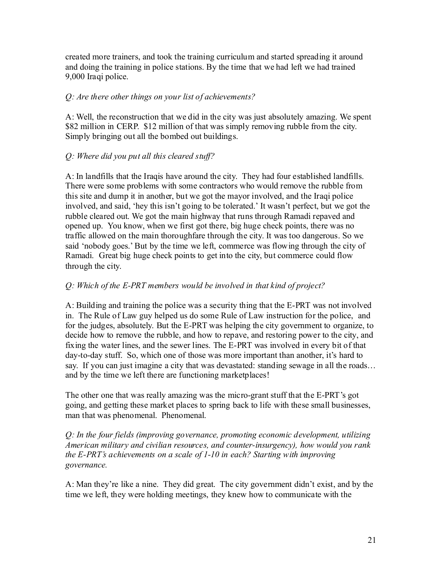created more trainers, and took the training curriculum and started spreading it around and doing the training in police stations. By the time that we had left we had trained 9,000 Iraqi police.

## *Q: Are there other things on your list of achievements?*

A: Well, the reconstruction that we did in the city was just absolutely amazing. We spent \$82 million in CERP. \$12 million of that was simply removing rubble from the city. Simply bringing out all the bombed out buildings.

# *Q: Where did you put all this cleared stuf ?*

A: In landfills that the Iraqis have around the city. They had four established landfills. There were some problems with some contractors who would remove the rubble from this site and dump it in another, but we got the mayor involved, and the Iraqi police involved, and said, 'hey this isn't going to be tolerated.' It wasn't perfect, but we got the rubble cleared out. We got the main highway that runs through Ramadi repaved and opened up. You know, when we first got there, big huge check points, there was no traffic allowed on the main thoroughfare through the city. It was too dangerous. So we said 'nobody goes.' But by the time we left, commerce was flowing through the city of Ramadi. Great big huge check points to get into the city, but commerce could flow through the city.

# *Q: Which of the E-PRT members would be involved in that kind of project?*

A: Building and training the police was a security thing that the E-PRT was not involved in. The Rule of Law guy helped us do some Rule of Law instruction for the police, and for the judges, absolutely. But the E-PRT was helping the city government to organize, to decide how to remove the rubble, and how to repave, and restoring power to the city, and fixing the water lines, and the sewer lines. The E-PRT was involved in every bit of that day-to-day stuff. So, which one of those was more important than another, it's hard to say. If you can just imagine a city that was devastated: standing sewage in all the roads... and by the time we left there are functioning marketplaces!

The other one that was really amazing was the micro-grant stuff that the E-PRT's got going, and getting these market places to spring back to life with these small businesses, man that was phenomenal. Phenomenal.

*Q: In the four fields (improving governance, promoting economic development, utilizing American military and civilian resources, and counter-insurgency), how would you rank the E-PRT's achievements on a scale of 1-10 in each? Starting with improving governance.*

A: Man they're like a nine. They did great. The city government didn't exist, and by the time we left, they were holding meetings, they knew how to communicate with the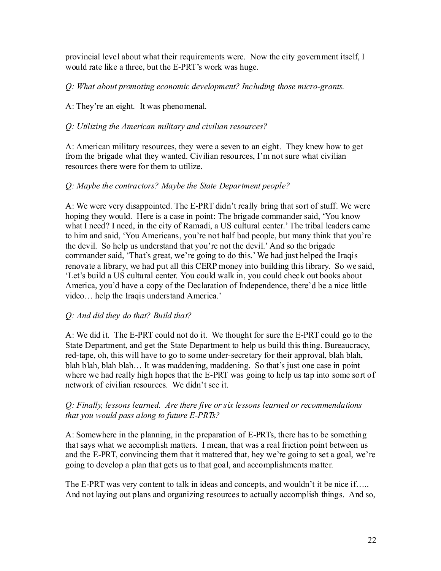provincial level about what their requirements were. Now the city government itself, I would rate like a three, but the E-PRT's work was huge.

*Q: What about promoting economic development? Including those micro-grants.*

A: They're an eight. It was phenomenal.

# *Q: Utilizing the American military and civilian resources?*

A: American military resources, they were a seven to an eight. They knew how to get from the brigade what they wanted. Civilian resources, I'm not sure what civilian resources there were for them to utilize.

# *Q: Maybe the contractors? Maybe the State Department people?*

A: We were very disappointed. The E-PRT didn't really bring that sort of stuff. We were hoping they would. Here is a case in point: The brigade commander said, 'You know what I need? I need, in the city of Ramadi, a US cultural center.' The tribal leaders came to him and said, 'You Americans, you're not half bad people, but many think that you're the devil. So help us understand that you're not the devil.' And so the brigade commander said, 'That's great, we're going to do this.' We had just helped the Iraqis renovate a library, we had put all this CERP money into building this library. So we said, 'Let's build a US cultural center. You could walk in, you could check out books about America, you'd have a copy of the Declaration of Independence, there'd be a nice little video… help the Iraqis understand America.'

# *Q: And did they do that? Build that?*

A: We did it. The E-PRT could not do it. We thought for sure the E-PRT could go to the State Department, and get the State Department to help us build this thing. Bureaucracy, red-tape, oh, this will have to go to some under-secretary for their approval, blah blah, blah blah, blah blah… It was maddening, maddening. So that's just one case in point where we had really high hopes that the E-PRT was going to help us tap into some sort of network of civilian resources. We didn't see it.

# *Q: Finally, lessons learned. Are there five or six lessons learned or recommendations that you would pass along to future E-PRTs?*

A: Somewhere in the planning, in the preparation of E-PRTs, there has to be something that says what we accomplish matters. I mean, that was a real friction point between us and the E-PRT, convincing them that it mattered that, hey we're going to set a goal, we're going to develop a plan that gets us to that goal, and accomplishments matter.

The E-PRT was very content to talk in ideas and concepts, and wouldn't it be nice if….. And not laying out plans and organizing resources to actually accomplish things. And so,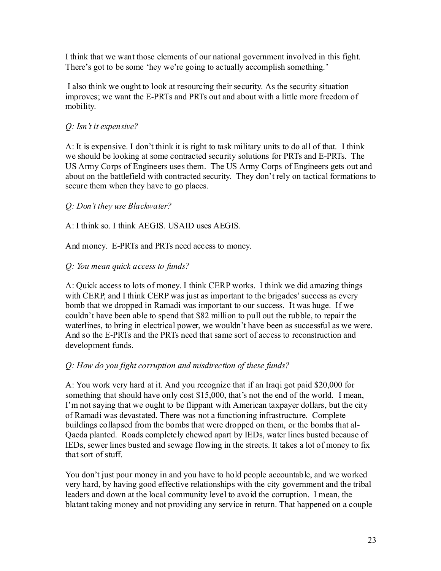I think that we want those elements of our national government involved in this fight. There's got to be some 'hey we're going to actually accomplish something.'

I also think we ought to look at resourcing their security. As the security situation improves; we want the E-PRTs and PRTs out and about with a little more freedom of mobility.

# *Q: Isn't it expensive?*

A: It is expensive. I don't think it is right to task military units to do all of that. I think we should be looking at some contracted security solutions for PRTs and E-PRTs. The US Army Corps of Engineers uses them. The US Army Corps of Engineers gets out and about on the battlefield with contracted security. They don't rely on tactical formations to secure them when they have to go places.

# *Q: Don't they use Blackwater?*

A: I think so. I think AEGIS. USAID uses AEGIS.

And money. E-PRTs and PRTs need access to money.

# *Q: You mean quick access to funds?*

A: Quick access to lots of money. I think CERP works. I think we did amazing things with CERP, and I think CERP was just as important to the brigades' success as every bomb that we dropped in Ramadi was important to our success. It was huge. If we couldn't have been able to spend that \$82 million to pull out the rubble, to repair the waterlines, to bring in electrical power, we wouldn't have been as successful as we were. And so the E-PRTs and the PRTs need that same sort of access to reconstruction and development funds.

# *Q: How do you fight corruption and misdirection of these funds?*

A: You work very hard at it. And you recognize that if an Iraqi got paid \$20,000 for something that should have only cost \$15,000, that's not the end of the world. I mean, I'm not saying that we ought to be flippant with American taxpayer dollars, but the city of Ramadi was devastated. There was not a functioning infrastructure. Complete buildings collapsed from the bombs that were dropped on them, or the bombs that al-Qaeda planted. Roads completely chewed apart by IEDs, water lines busted because of IEDs, sewer lines busted and sewage flowing in the streets. It takes a lot of money to fix that sort of stuff.

You don't just pour money in and you have to hold people accountable, and we worked very hard, by having good effective relationships with the city government and the tribal leaders and down at the local community level to avoid the corruption. I mean, the blatant taking money and not providing any service in return. That happened on a couple